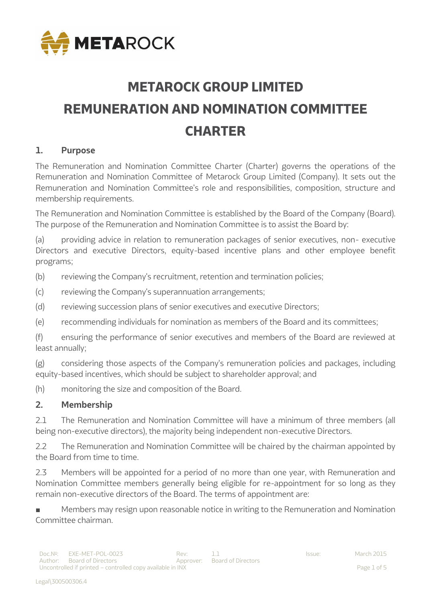

# **METAROCK GROUP LIMITED REMUNERATION AND NOMINATION COMMITTEE CHARTER**

# **1. Purpose**

The Remuneration and Nomination Committee Charter (Charter) governs the operations of the Remuneration and Nomination Committee of Metarock Group Limited (Company). It sets out the Remuneration and Nomination Committee's role and responsibilities, composition, structure and membership requirements.

The Remuneration and Nomination Committee is established by the Board of the Company (Board). The purpose of the Remuneration and Nomination Committee is to assist the Board by:

(a) providing advice in relation to remuneration packages of senior executives, non- executive Directors and executive Directors, equity-based incentive plans and other employee benefit programs;

(b) reviewing the Company's recruitment, retention and termination policies;

- (c) reviewing the Company's superannuation arrangements;
- (d) reviewing succession plans of senior executives and executive Directors;
- (e) recommending individuals for nomination as members of the Board and its committees;

(f) ensuring the performance of senior executives and members of the Board are reviewed at least annually;

(g) considering those aspects of the Company's remuneration policies and packages, including equity-based incentives, which should be subject to shareholder approval; and

(h) monitoring the size and composition of the Board.

## **2. Membership**

2.1 The Remuneration and Nomination Committee will have a minimum of three members (all being non-executive directors), the majority being independent non-executive Directors.

2.2 The Remuneration and Nomination Committee will be chaired by the chairman appointed by the Board from time to time.

2.3 Members will be appointed for a period of no more than one year, with Remuneration and Nomination Committee members generally being eligible for re-appointment for so long as they remain non-executive directors of the Board. The terms of appointment are:

Members may resign upon reasonable notice in writing to the Remuneration and Nomination Committee chairman.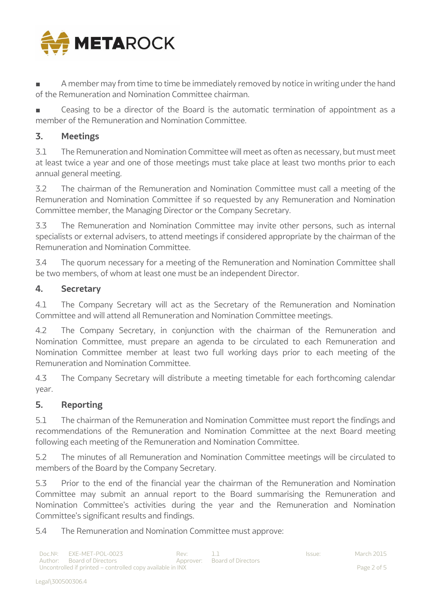

A member may from time to time be immediately removed by notice in writing under the hand of the Remuneration and Nomination Committee chairman.

Ceasing to be a director of the Board is the automatic termination of appointment as a member of the Remuneration and Nomination Committee.

# **3. Meetings**

3.1 The Remuneration and Nomination Committee will meet as often as necessary, but must meet at least twice a year and one of those meetings must take place at least two months prior to each annual general meeting.

3.2 The chairman of the Remuneration and Nomination Committee must call a meeting of the Remuneration and Nomination Committee if so requested by any Remuneration and Nomination Committee member, the Managing Director or the Company Secretary.

3.3 The Remuneration and Nomination Committee may invite other persons, such as internal specialists or external advisers, to attend meetings if considered appropriate by the chairman of the Remuneration and Nomination Committee.

3.4 The quorum necessary for a meeting of the Remuneration and Nomination Committee shall be two members, of whom at least one must be an independent Director.

# **4. Secretary**

4.1 The Company Secretary will act as the Secretary of the Remuneration and Nomination Committee and will attend all Remuneration and Nomination Committee meetings.

4.2 The Company Secretary, in conjunction with the chairman of the Remuneration and Nomination Committee, must prepare an agenda to be circulated to each Remuneration and Nomination Committee member at least two full working days prior to each meeting of the Remuneration and Nomination Committee.

4.3 The Company Secretary will distribute a meeting timetable for each forthcoming calendar year.

## **5. Reporting**

5.1 The chairman of the Remuneration and Nomination Committee must report the findings and recommendations of the Remuneration and Nomination Committee at the next Board meeting following each meeting of the Remuneration and Nomination Committee.

5.2 The minutes of all Remuneration and Nomination Committee meetings will be circulated to members of the Board by the Company Secretary.

5.3 Prior to the end of the financial year the chairman of the Remuneration and Nomination Committee may submit an annual report to the Board summarising the Remuneration and Nomination Committee's activities during the year and the Remuneration and Nomination Committee's significant results and findings.

5.4 The Remuneration and Nomination Committee must approve: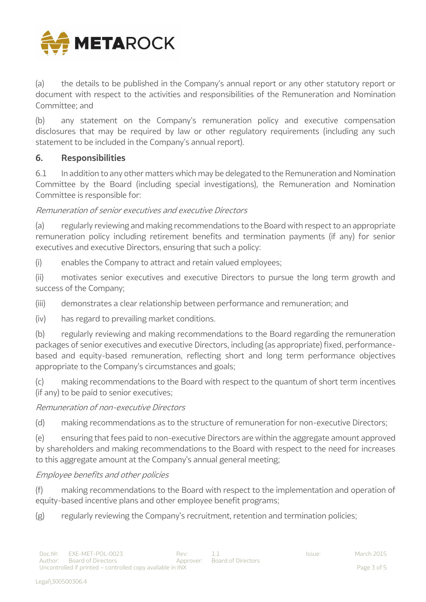

(a) the details to be published in the Company's annual report or any other statutory report or document with respect to the activities and responsibilities of the Remuneration and Nomination Committee; and

(b) any statement on the Company's remuneration policy and executive compensation disclosures that may be required by law or other regulatory requirements (including any such statement to be included in the Company's annual report).

## **6. Responsibilities**

6.1 In addition to any other matters which may be delegated to the Remuneration and Nomination Committee by the Board (including special investigations), the Remuneration and Nomination Committee is responsible for:

## Remuneration of senior executives and executive Directors

(a) regularly reviewing and making recommendations to the Board with respect to an appropriate remuneration policy including retirement benefits and termination payments (if any) for senior executives and executive Directors, ensuring that such a policy:

(i) enables the Company to attract and retain valued employees;

(ii) motivates senior executives and executive Directors to pursue the long term growth and success of the Company;

(iii) demonstrates a clear relationship between performance and remuneration; and

(iv) has regard to prevailing market conditions.

(b) regularly reviewing and making recommendations to the Board regarding the remuneration packages of senior executives and executive Directors, including (as appropriate) fixed, performancebased and equity-based remuneration, reflecting short and long term performance objectives appropriate to the Company's circumstances and goals;

(c) making recommendations to the Board with respect to the quantum of short term incentives (if any) to be paid to senior executives;

## Remuneration of non-executive Directors

(d) making recommendations as to the structure of remuneration for non-executive Directors;

(e) ensuring that fees paid to non-executive Directors are within the aggregate amount approved by shareholders and making recommendations to the Board with respect to the need for increases to this aggregate amount at the Company's annual general meeting;

#### Employee benefits and other policies

(f) making recommendations to the Board with respect to the implementation and operation of equity-based incentive plans and other employee benefit programs;

(g) regularly reviewing the Company's recruitment, retention and termination policies;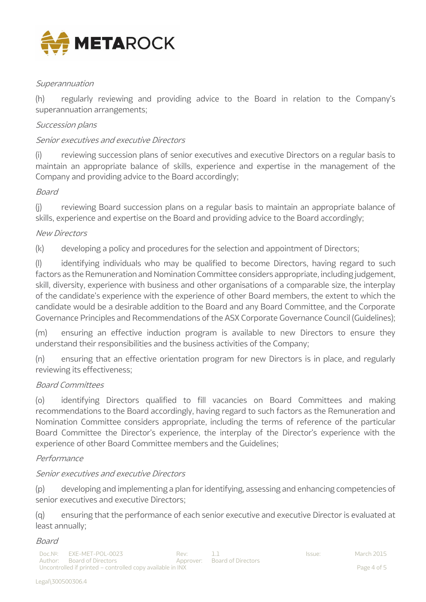

## **Superannuation**

(h) regularly reviewing and providing advice to the Board in relation to the Company's superannuation arrangements;

#### Succession plans

#### Senior executives and executive Directors

(i) reviewing succession plans of senior executives and executive Directors on a regular basis to maintain an appropriate balance of skills, experience and expertise in the management of the Company and providing advice to the Board accordingly;

#### Board

(j) reviewing Board succession plans on a regular basis to maintain an appropriate balance of skills, experience and expertise on the Board and providing advice to the Board accordingly;

#### New Directors

(k) developing a policy and procedures for the selection and appointment of Directors;

(l) identifying individuals who may be qualified to become Directors, having regard to such factors as the Remuneration and Nomination Committee considers appropriate, including judgement, skill, diversity, experience with business and other organisations of a comparable size, the interplay of the candidate's experience with the experience of other Board members, the extent to which the candidate would be a desirable addition to the Board and any Board Committee, and the Corporate Governance Principles and Recommendations of the ASX Corporate Governance Council (Guidelines);

(m) ensuring an effective induction program is available to new Directors to ensure they understand their responsibilities and the business activities of the Company;

(n) ensuring that an effective orientation program for new Directors is in place, and regularly reviewing its effectiveness;

#### Board Committees

(o) identifying Directors qualified to fill vacancies on Board Committees and making recommendations to the Board accordingly, having regard to such factors as the Remuneration and Nomination Committee considers appropriate, including the terms of reference of the particular Board Committee the Director's experience, the interplay of the Director's experience with the experience of other Board Committee members and the Guidelines;

#### Performance

#### Senior executives and executive Directors

(p) developing and implementing a plan for identifying, assessing and enhancing competencies of senior executives and executive Directors;

(q) ensuring that the performance of each senior executive and executive Director is evaluated at least annually;

#### Board

Doc.N o : EXE-MET-POL-0023 Rev: 1.1 Issue: March 2015 Author: Board of Directors **Approver:** Board of Directors Uncontrolled if printed – controlled copy available in INX Page 4 of 5

Legal\300500306.4